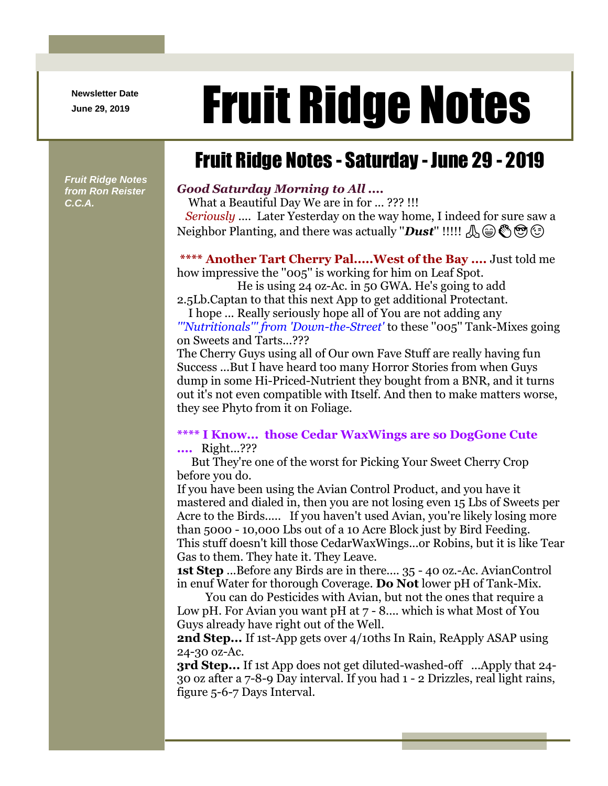**Newsletter Date**

# Newsletter Date **Fruit Ridge Notes**

# Fruit Ridge Notes - Saturday - June 29 - 2019

*Fruit Ridge Notes from Ron Reister C.C.A.*

## *Good Saturday Morning to All ....*

What a Beautiful Day We are in for ... ??? !!! *Seriously* .... Later Yesterday on the way home, I indeed for sure saw a Neighbor Planting, and there was actually "*Dust*" !!!!!  $\mathcal{A}(\bigoplus_{\alpha} \mathcal{A}(\alpha)$ 

## **\*\*\*\* Another Tart Cherry Pal.....West of the Bay ....** Just told me

how impressive the "005" is working for him on Leaf Spot. He is using 24 oz-Ac. in 50 GWA. He's going to add

2.5Lb.Captan to that this next App to get additional Protectant. I hope ... Really seriously hope all of You are not adding any

*'''Nutritionals''' from 'Down-the-Street'* to these ''005'' Tank-Mixes going on Sweets and Tarts...???

The Cherry Guys using all of Our own Fave Stuff are really having fun Success ...But I have heard too many Horror Stories from when Guys dump in some Hi-Priced-Nutrient they bought from a BNR, and it turns out it's not even compatible with Itself. And then to make matters worse, they see Phyto from it on Foliage.

#### **\*\*\*\* I Know... those Cedar WaxWings are so DogGone Cute ....** Right...???

But They're one of the worst for Picking Your Sweet Cherry Crop before you do.

If you have been using the Avian Control Product, and you have it mastered and dialed in, then you are not losing even 15 Lbs of Sweets per Acre to the Birds..... If you haven't used Avian, you're likely losing more than 5000 - 10,000 Lbs out of a 10 Acre Block just by Bird Feeding. This stuff doesn't kill those CedarWaxWings...or Robins, but it is like Tear Gas to them. They hate it. They Leave.

**1st Step** ...Before any Birds are in there.... 35 - 40 oz.-Ac. AvianControl in enuf Water for thorough Coverage. **Do Not** lower pH of Tank-Mix.

You can do Pesticides with Avian, but not the ones that require a Low pH. For Avian you want pH at 7 - 8.... which is what Most of You Guys already have right out of the Well.

**2nd Step...** If 1st-App gets over 4/10ths In Rain, ReApply ASAP using 24-30 oz-Ac.

**3rd Step...** If 1st App does not get diluted-washed-off ...Apply that 24- 30 oz after a 7-8-9 Day interval. If you had 1 - 2 Drizzles, real light rains, figure 5-6-7 Days Interval.